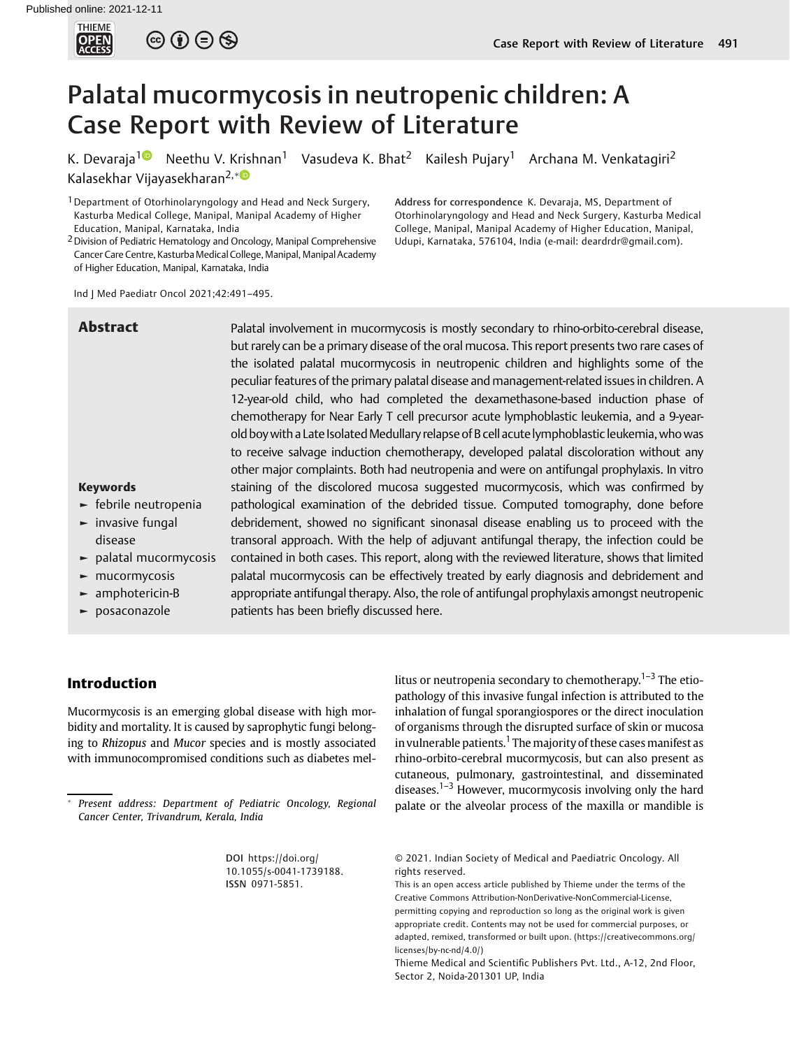

# Palatal mucormycosis in neutropenic children: A Case Report with Review of Literature

Abstract Palatal involvement in mucormycosis is mostly secondary to rhino-orbito-cerebral disease,

K. Devaraja<sup>[1](https://orcid.org/0000-0001-8171-7393)0</sup> Neethu V. Krishnan<sup>1</sup> Vasudeva K. Bhat<sup>2</sup> Kailesh Pujary<sup>1</sup> Archana M. Venkatagiri<sup>2</sup> Kalasekhar Vijayasekharan2,

<sup>1</sup> Department of Otorhinolaryngology and Head and Neck Surgery, Kasturba Medical College, Manipal, Manipal Academy of Higher Education, Manipal, Karnataka, India

<sup>2</sup> Division of Pediatric Hematology and Oncology, Manipal Comprehensive Cancer Care Centre, Kasturba Medical College, Manipal, Manipal Academy of Higher Education, Manipal, Karnataka, India

Ind J Med Paediatr Oncol 2021;42:491–495.

Address for correspondence K. Devaraja, MS, Department of Otorhinolaryngology and Head and Neck Surgery, Kasturba Medical College, Manipal, Manipal Academy of Higher Education, Manipal, Udupi, Karnataka, 576104, India (e-mail: [deardrdr@gmail.com\)](mailto:deardrdr@gmail.com).

the isolated palatal mucormycosis in neutropenic children and highlights some of the peculiar features of the primary palatal disease and management-related issues in children. A 12-year-old child, who had completed the dexamethasone-based induction phase of chemotherapy for Near Early T cell precursor acute lymphoblastic leukemia, and a 9-yearold boy with a Late Isolated Medullary relapse of B cell acute lymphoblastic leukemia, who was to receive salvage induction chemotherapy, developed palatal discoloration without any other major complaints. Both had neutropenia and were on antifungal prophylaxis. In vitro staining of the discolored mucosa suggested mucormycosis, which was confirmed by pathological examination of the debrided tissue. Computed tomography, done before debridement, showed no significant sinonasal disease enabling us to proceed with the transoral approach. With the help of adjuvant antifungal therapy, the infection could be contained in both cases. This report, along with the reviewed literature, shows that limited palatal mucormycosis can be effectively treated by early diagnosis and debridement and appropriate antifungal therapy. Also, the role of antifungal prophylaxis amongst neutropenic patients has been briefly discussed here.

but rarely can be a primary disease of the oral mucosa. This report presents two rare cases of

## Keywords ► febrile neutropenia

- ► invasive fungal
- disease
- ► palatal mucormycosis
- ► mucormycosis
- ► amphotericin-B
- ► posaconazole

# Introduction

Mucormycosis is an emerging global disease with high morbidity and mortality. It is caused by saprophytic fungi belonging to Rhizopus and Mucor species and is mostly associated with immunocompromised conditions such as diabetes mel-

 Present address: Department of Pediatric Oncology, Regional Cancer Center, Trivandrum, Kerala, India

> DOI [https://doi.org/](https://doi.org/10.1055/s-0041-1739188) [10.1055/s-0041-1739188](https://doi.org/10.1055/s-0041-1739188). ISSN 0971-5851.

litus or neutropenia secondary to chemotherapy.<sup> $1-3$ </sup> The etiopathology of this invasive fungal infection is attributed to the inhalation of fungal sporangiospores or the direct inoculation of organisms through the disrupted surface of skin or mucosa in vulnerable patients.<sup>1</sup> The majority of these cases manifest as rhino-orbito-cerebral mucormycosis, but can also present as cutaneous, pulmonary, gastrointestinal, and disseminated diseases.<sup>1–3</sup> However, mucormycosis involving only the hard palate or the alveolar process of the maxilla or mandible is

<sup>© 2021.</sup> Indian Society of Medical and Paediatric Oncology. All rights reserved.

This is an open access article published by Thieme under the terms of the Creative Commons Attribution-NonDerivative-NonCommercial-License, permitting copying and reproduction so long as the original work is given appropriate credit. Contents may not be used for commercial purposes, or adapted, remixed, transformed or built upon. (https://creativecommons.org/ licenses/by-nc-nd/4.0/)

Thieme Medical and Scientific Publishers Pvt. Ltd., A-12, 2nd Floor, Sector 2, Noida-201301 UP, India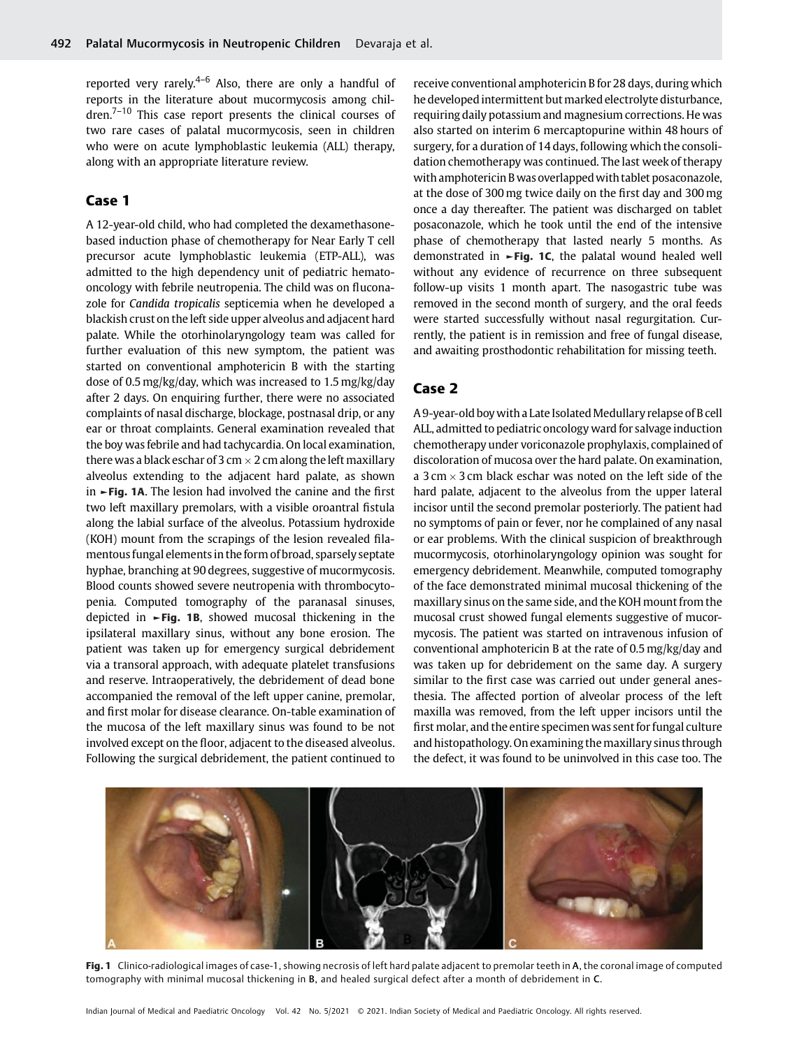reported very rarely.<sup>4–6</sup> Also, there are only a handful of reports in the literature about mucormycosis among chil $dren.<sup>7-10</sup>$  This case report presents the clinical courses of two rare cases of palatal mucormycosis, seen in children who were on acute lymphoblastic leukemia (ALL) therapy, along with an appropriate literature review.

# Case 1

A 12-year-old child, who had completed the dexamethasonebased induction phase of chemotherapy for Near Early T cell precursor acute lymphoblastic leukemia (ETP-ALL), was admitted to the high dependency unit of pediatric hematooncology with febrile neutropenia. The child was on fluconazole for Candida tropicalis septicemia when he developed a blackish crust on theleft side upper alveolus and adjacent hard palate. While the otorhinolaryngology team was called for further evaluation of this new symptom, the patient was started on conventional amphotericin B with the starting dose of 0.5 mg/kg/day, which was increased to 1.5 mg/kg/day after 2 days. On enquiring further, there were no associated complaints of nasal discharge, blockage, postnasal drip, or any ear or throat complaints. General examination revealed that the boy was febrile and had tachycardia. On local examination, there was a black eschar of 3 cm  $\times$  2 cm along the left maxillary alveolus extending to the adjacent hard palate, as shown in ►Fig. 1A. The lesion had involved the canine and the first two left maxillary premolars, with a visible oroantral fistula along the labial surface of the alveolus. Potassium hydroxide (KOH) mount from the scrapings of the lesion revealed filamentous fungal elementsin the form of broad, sparsely septate hyphae, branching at 90 degrees, suggestive of mucormycosis. Blood counts showed severe neutropenia with thrombocytopenia. Computed tomography of the paranasal sinuses, depicted in  $\blacktriangleright$ Fig. 1B, showed mucosal thickening in the ipsilateral maxillary sinus, without any bone erosion. The patient was taken up for emergency surgical debridement via a transoral approach, with adequate platelet transfusions and reserve. Intraoperatively, the debridement of dead bone accompanied the removal of the left upper canine, premolar, and first molar for disease clearance. On-table examination of the mucosa of the left maxillary sinus was found to be not involved except on the floor, adjacent to the diseased alveolus. Following the surgical debridement, the patient continued to

receive conventional amphotericin B for 28 days, during which he developed intermittent but marked electrolyte disturbance, requiring daily potassium and magnesium corrections. He was also started on interim 6 mercaptopurine within 48 hours of surgery, for a duration of 14 days, following which the consolidation chemotherapy was continued. The last week of therapy with amphotericin B was overlappedwith tablet posaconazole, at the dose of 300 mg twice daily on the first day and 300 mg once a day thereafter. The patient was discharged on tablet posaconazole, which he took until the end of the intensive phase of chemotherapy that lasted nearly 5 months. As demonstrated in  $\blacktriangleright$ Fig. 1C, the palatal wound healed well without any evidence of recurrence on three subsequent follow-up visits 1 month apart. The nasogastric tube was removed in the second month of surgery, and the oral feeds were started successfully without nasal regurgitation. Currently, the patient is in remission and free of fungal disease, and awaiting prosthodontic rehabilitation for missing teeth.

# Case 2

A 9-year-old boy with a Late IsolatedMedullary relapse of B cell ALL, admitted to pediatric oncology ward for salvage induction chemotherapy under voriconazole prophylaxis, complained of discoloration of mucosa over the hard palate. On examination, a 3 cm  $\times$  3 cm black eschar was noted on the left side of the hard palate, adjacent to the alveolus from the upper lateral incisor until the second premolar posteriorly. The patient had no symptoms of pain or fever, nor he complained of any nasal or ear problems. With the clinical suspicion of breakthrough mucormycosis, otorhinolaryngology opinion was sought for emergency debridement. Meanwhile, computed tomography of the face demonstrated minimal mucosal thickening of the maxillary sinus on the same side, and the KOH mount from the mucosal crust showed fungal elements suggestive of mucormycosis. The patient was started on intravenous infusion of conventional amphotericin B at the rate of 0.5mg/kg/day and was taken up for debridement on the same day. A surgery similar to the first case was carried out under general anesthesia. The affected portion of alveolar process of the left maxilla was removed, from the left upper incisors until the first molar, and the entire specimen was sent for fungal culture and histopathology. On examining themaxillary sinus through the defect, it was found to be uninvolved in this case too. The



Fig. 1 Clinico-radiological images of case-1, showing necrosis of left hard palate adjacent to premolar teeth in A, the coronal image of computed tomography with minimal mucosal thickening in B, and healed surgical defect after a month of debridement in C.

Indian Journal of Medical and Paediatric Oncology Vol. 42 No. 5/2021 © 2021. Indian Society of Medical and Paediatric Oncology. All rights reserved.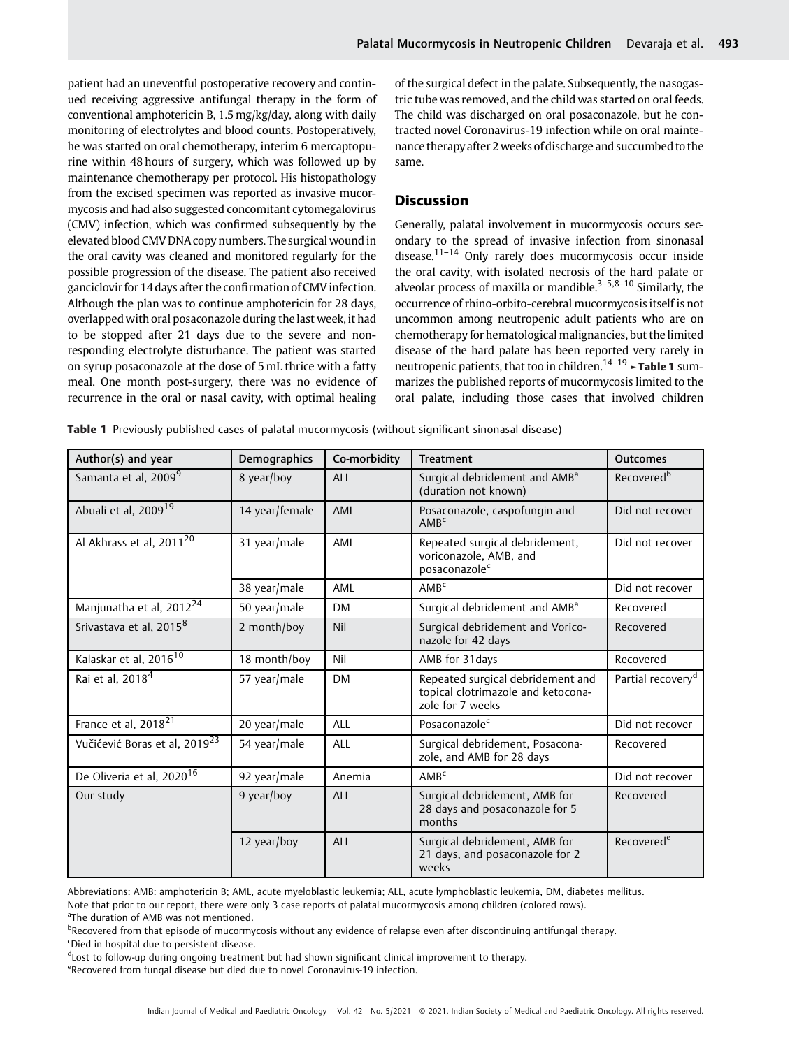patient had an uneventful postoperative recovery and continued receiving aggressive antifungal therapy in the form of conventional amphotericin B, 1.5 mg/kg/day, along with daily monitoring of electrolytes and blood counts. Postoperatively, he was started on oral chemotherapy, interim 6 mercaptopurine within 48 hours of surgery, which was followed up by maintenance chemotherapy per protocol. His histopathology from the excised specimen was reported as invasive mucormycosis and had also suggested concomitant cytomegalovirus (CMV) infection, which was confirmed subsequently by the elevated blood CMV DNA copy numbers. The surgical wound in the oral cavity was cleaned and monitored regularly for the possible progression of the disease. The patient also received ganciclovir for 14 days after the confirmation of CMV infection. Although the plan was to continue amphotericin for 28 days, overlapped with oral posaconazole during thelast week, it had to be stopped after 21 days due to the severe and nonresponding electrolyte disturbance. The patient was started on syrup posaconazole at the dose of 5 mL thrice with a fatty meal. One month post-surgery, there was no evidence of recurrence in the oral or nasal cavity, with optimal healing

of the surgical defect in the palate. Subsequently, the nasogastric tube was removed, and the child was started on oral feeds. The child was discharged on oral posaconazole, but he contracted novel Coronavirus-19 infection while on oral maintenance therapy after 2 weeks of discharge and succumbed to the same.

### **Discussion**

Generally, palatal involvement in mucormycosis occurs secondary to the spread of invasive infection from sinonasal disease.<sup>11–14</sup> Only rarely does mucormycosis occur inside the oral cavity, with isolated necrosis of the hard palate or alveolar process of maxilla or mandible. $3-5,8-10$  Similarly, the occurrence of rhino-orbito-cerebral mucormycosis itself is not uncommon among neutropenic adult patients who are on chemotherapy for hematological malignancies, but the limited disease of the hard palate has been reported very rarely in neutropenic patients, that too in children.<sup>14–19</sup> ►Table 1 summarizes the published reports of mucormycosis limited to the oral palate, including those cases that involved children

Table 1 Previously published cases of palatal mucormycosis (without significant sinonasal disease)

| Author(s) and year                        | Demographics   | Co-morbidity | <b>Treatment</b>                                                                            | <b>Outcomes</b>               |
|-------------------------------------------|----------------|--------------|---------------------------------------------------------------------------------------------|-------------------------------|
| Samanta et al, 2009 <sup>9</sup>          | 8 year/boy     | ALL          | Surgical debridement and AMB <sup>a</sup><br>(duration not known)                           | Recovered <sup>b</sup>        |
| Abuali et al, 2009 <sup>19</sup>          | 14 year/female | AML          | Posaconazole, caspofungin and<br>AMB <sup>c</sup>                                           | Did not recover               |
| Al Akhrass et al, 2011 <sup>20</sup>      | 31 year/male   | AML          | Repeated surgical debridement,<br>voriconazole, AMB, and<br>posaconazole <sup>c</sup>       | Did not recover               |
|                                           | 38 year/male   | AML          | AMB <sup>c</sup>                                                                            | Did not recover               |
| Manjunatha et al, 2012 <sup>24</sup>      | 50 year/male   | <b>DM</b>    | Surgical debridement and AMB <sup>a</sup>                                                   | Recovered                     |
| Srivastava et al, 2015 <sup>8</sup>       | 2 month/boy    | Nil          | Surgical debridement and Vorico-<br>nazole for 42 days                                      | Recovered                     |
| Kalaskar et al, 2016 <sup>10</sup>        | 18 month/boy   | Nil          | AMB for 31 days                                                                             | Recovered                     |
| Rai et al, 2018 <sup>4</sup>              | 57 year/male   | <b>DM</b>    | Repeated surgical debridement and<br>topical clotrimazole and ketocona-<br>zole for 7 weeks | Partial recovery <sup>d</sup> |
| France et al, 2018 <sup>21</sup>          | 20 year/male   | ALL          | Posaconazole <sup>c</sup>                                                                   | Did not recover               |
| Vučićević Boras et al, 2019 <sup>23</sup> | 54 year/male   | ALL          | Surgical debridement, Posacona-<br>zole, and AMB for 28 days                                | Recovered                     |
| De Oliveria et al, 2020 <sup>16</sup>     | 92 year/male   | Anemia       | AMB <sup>c</sup>                                                                            | Did not recover               |
| Our study                                 | 9 year/boy     | ALL          | Surgical debridement, AMB for<br>28 days and posaconazole for 5<br>months                   | Recovered                     |
|                                           | 12 year/boy    | ALL          | Surgical debridement, AMB for<br>21 days, and posaconazole for 2<br>weeks                   | Recovered <sup>e</sup>        |

Abbreviations: AMB: amphotericin B; AML, acute myeloblastic leukemia; ALL, acute lymphoblastic leukemia, DM, diabetes mellitus.

Note that prior to our report, there were only 3 case reports of palatal mucormycosis among children (colored rows).

<sup>a</sup>The duration of AMB was not mentioned.

**BRecovered from that episode of mucormycosis without any evidence of relapse even after discontinuing antifungal therapy.** c Died in hospital due to persistent disease.

dLost to follow-up during ongoing treatment but had shown significant clinical improvement to therapy.

eRecovered from fungal disease but died due to novel Coronavirus-19 infection.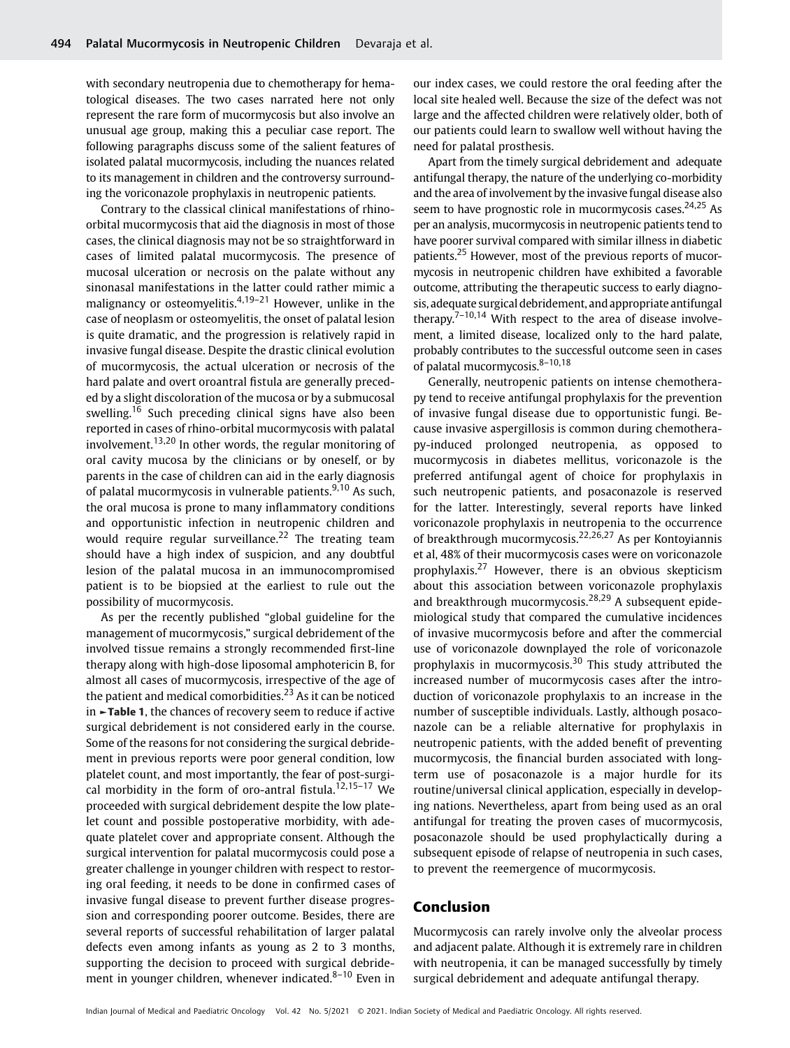with secondary neutropenia due to chemotherapy for hematological diseases. The two cases narrated here not only represent the rare form of mucormycosis but also involve an unusual age group, making this a peculiar case report. The following paragraphs discuss some of the salient features of isolated palatal mucormycosis, including the nuances related to its management in children and the controversy surrounding the voriconazole prophylaxis in neutropenic patients.

Contrary to the classical clinical manifestations of rhinoorbital mucormycosis that aid the diagnosis in most of those cases, the clinical diagnosis may not be so straightforward in cases of limited palatal mucormycosis. The presence of mucosal ulceration or necrosis on the palate without any sinonasal manifestations in the latter could rather mimic a malignancy or osteomyelitis.<sup>4,19–21</sup> However, unlike in the case of neoplasm or osteomyelitis, the onset of palatal lesion is quite dramatic, and the progression is relatively rapid in invasive fungal disease. Despite the drastic clinical evolution of mucormycosis, the actual ulceration or necrosis of the hard palate and overt oroantral fistula are generally preceded by a slight discoloration of the mucosa or by a submucosal swelling.<sup>16</sup> Such preceding clinical signs have also been reported in cases of rhino-orbital mucormycosis with palatal involvement.<sup>13,20</sup> In other words, the regular monitoring of oral cavity mucosa by the clinicians or by oneself, or by parents in the case of children can aid in the early diagnosis of palatal mucormycosis in vulnerable patients.<sup>9,10</sup> As such, the oral mucosa is prone to many inflammatory conditions and opportunistic infection in neutropenic children and would require regular surveillance.<sup>22</sup> The treating team should have a high index of suspicion, and any doubtful lesion of the palatal mucosa in an immunocompromised patient is to be biopsied at the earliest to rule out the possibility of mucormycosis.

As per the recently published "global guideline for the management of mucormycosis," surgical debridement of the involved tissue remains a strongly recommended first-line therapy along with high-dose liposomal amphotericin B, for almost all cases of mucormycosis, irrespective of the age of the patient and medical comorbidities.<sup>23</sup> As it can be noticed in ►Table 1, the chances of recovery seem to reduce if active surgical debridement is not considered early in the course. Some of the reasons for not considering the surgical debridement in previous reports were poor general condition, low platelet count, and most importantly, the fear of post-surgical morbidity in the form of oro-antral fistula.<sup>12,15-17</sup> We proceeded with surgical debridement despite the low platelet count and possible postoperative morbidity, with adequate platelet cover and appropriate consent. Although the surgical intervention for palatal mucormycosis could pose a greater challenge in younger children with respect to restoring oral feeding, it needs to be done in confirmed cases of invasive fungal disease to prevent further disease progression and corresponding poorer outcome. Besides, there are several reports of successful rehabilitation of larger palatal defects even among infants as young as 2 to 3 months, supporting the decision to proceed with surgical debridement in younger children, whenever indicated. $8-10$  Even in

our index cases, we could restore the oral feeding after the local site healed well. Because the size of the defect was not large and the affected children were relatively older, both of our patients could learn to swallow well without having the need for palatal prosthesis.

Apart from the timely surgical debridement and adequate antifungal therapy, the nature of the underlying co-morbidity and the area of involvement by the invasive fungal disease also seem to have prognostic role in mucormycosis cases.<sup>24,25</sup> As per an analysis, mucormycosis in neutropenic patients tend to have poorer survival compared with similar illness in diabetic patients.<sup>25</sup> However, most of the previous reports of mucormycosis in neutropenic children have exhibited a favorable outcome, attributing the therapeutic success to early diagnosis, adequate surgical debridement, and appropriate antifungal therapy.<sup>7–10,14</sup> With respect to the area of disease involvement, a limited disease, localized only to the hard palate, probably contributes to the successful outcome seen in cases of palatal mucormycosis.<sup>8-10,18</sup>

Generally, neutropenic patients on intense chemotherapy tend to receive antifungal prophylaxis for the prevention of invasive fungal disease due to opportunistic fungi. Because invasive aspergillosis is common during chemotherapy-induced prolonged neutropenia, as opposed to mucormycosis in diabetes mellitus, voriconazole is the preferred antifungal agent of choice for prophylaxis in such neutropenic patients, and posaconazole is reserved for the latter. Interestingly, several reports have linked voriconazole prophylaxis in neutropenia to the occurrence of breakthrough mucormycosis.22,26,27 As per Kontoyiannis et al, 48% of their mucormycosis cases were on voriconazole prophylaxis.<sup>27</sup> However, there is an obvious skepticism about this association between voriconazole prophylaxis and breakthrough mucormycosis.<sup>28,29</sup> A subsequent epidemiological study that compared the cumulative incidences of invasive mucormycosis before and after the commercial use of voriconazole downplayed the role of voriconazole prophylaxis in mucormycosis.<sup>30</sup> This study attributed the increased number of mucormycosis cases after the introduction of voriconazole prophylaxis to an increase in the number of susceptible individuals. Lastly, although posaconazole can be a reliable alternative for prophylaxis in neutropenic patients, with the added benefit of preventing mucormycosis, the financial burden associated with longterm use of posaconazole is a major hurdle for its routine/universal clinical application, especially in developing nations. Nevertheless, apart from being used as an oral antifungal for treating the proven cases of mucormycosis, posaconazole should be used prophylactically during a subsequent episode of relapse of neutropenia in such cases, to prevent the reemergence of mucormycosis.

### Conclusion

Mucormycosis can rarely involve only the alveolar process and adjacent palate. Although it is extremely rare in children with neutropenia, it can be managed successfully by timely surgical debridement and adequate antifungal therapy.